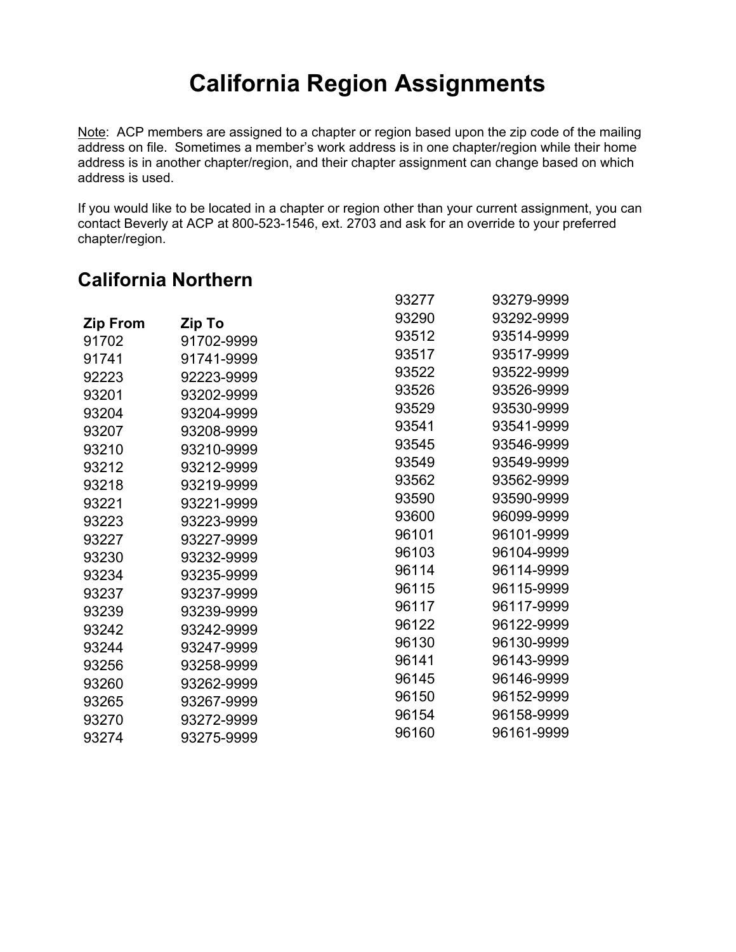# **California Region Assignments**

Note: ACP members are assigned to a chapter or region based upon the zip code of the mailing address on file. Sometimes a member's work address is in one chapter/region while their home address is in another chapter/region, and their chapter assignment can change based on which address is used.

If you would like to be located in a chapter or region other than your current assignment, you can contact Beverly at ACP at 800-523-1546, ext. 2703 and ask for an override to your preferred chapter/region.

### **California Northern**

|                 |            | 93277 | 93279-9999 |
|-----------------|------------|-------|------------|
| <b>Zip From</b> | Zip To     | 93290 | 93292-9999 |
| 91702           | 91702-9999 | 93512 | 93514-9999 |
| 91741           | 91741-9999 | 93517 | 93517-9999 |
| 92223           | 92223-9999 | 93522 | 93522-9999 |
| 93201           | 93202-9999 | 93526 | 93526-9999 |
| 93204           | 93204-9999 | 93529 | 93530-9999 |
| 93207           | 93208-9999 | 93541 | 93541-9999 |
| 93210           | 93210-9999 | 93545 | 93546-9999 |
| 93212           | 93212-9999 | 93549 | 93549-9999 |
| 93218           | 93219-9999 | 93562 | 93562-9999 |
| 93221           | 93221-9999 | 93590 | 93590-9999 |
| 93223           | 93223-9999 | 93600 | 96099-9999 |
| 93227           | 93227-9999 | 96101 | 96101-9999 |
| 93230           | 93232-9999 | 96103 | 96104-9999 |
| 93234           | 93235-9999 | 96114 | 96114-9999 |
| 93237           | 93237-9999 | 96115 | 96115-9999 |
| 93239           | 93239-9999 | 96117 | 96117-9999 |
| 93242           | 93242-9999 | 96122 | 96122-9999 |
| 93244           | 93247-9999 | 96130 | 96130-9999 |
| 93256           | 93258-9999 | 96141 | 96143-9999 |
| 93260           | 93262-9999 | 96145 | 96146-9999 |
| 93265           | 93267-9999 | 96150 | 96152-9999 |
| 93270           | 93272-9999 | 96154 | 96158-9999 |
| 93274           | 93275-9999 | 96160 | 96161-9999 |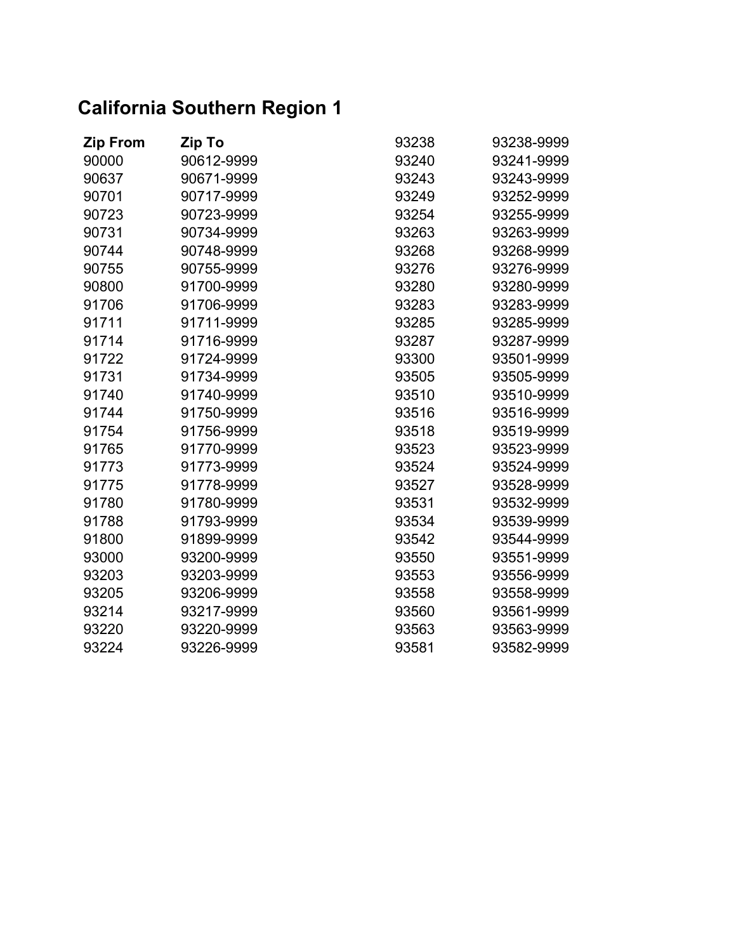## **California Southern Region 1**

| <b>Zip From</b> | Zip To     | 93238 | 93238-9999 |
|-----------------|------------|-------|------------|
| 90000           | 90612-9999 | 93240 | 93241-9999 |
| 90637           | 90671-9999 | 93243 | 93243-9999 |
| 90701           | 90717-9999 | 93249 | 93252-9999 |
| 90723           | 90723-9999 | 93254 | 93255-9999 |
| 90731           | 90734-9999 | 93263 | 93263-9999 |
| 90744           | 90748-9999 | 93268 | 93268-9999 |
| 90755           | 90755-9999 | 93276 | 93276-9999 |
| 90800           | 91700-9999 | 93280 | 93280-9999 |
| 91706           | 91706-9999 | 93283 | 93283-9999 |
| 91711           | 91711-9999 | 93285 | 93285-9999 |
| 91714           | 91716-9999 | 93287 | 93287-9999 |
| 91722           | 91724-9999 | 93300 | 93501-9999 |
| 91731           | 91734-9999 | 93505 | 93505-9999 |
| 91740           | 91740-9999 | 93510 | 93510-9999 |
| 91744           | 91750-9999 | 93516 | 93516-9999 |
| 91754           | 91756-9999 | 93518 | 93519-9999 |
| 91765           | 91770-9999 | 93523 | 93523-9999 |
| 91773           | 91773-9999 | 93524 | 93524-9999 |
| 91775           | 91778-9999 | 93527 | 93528-9999 |
| 91780           | 91780-9999 | 93531 | 93532-9999 |
| 91788           | 91793-9999 | 93534 | 93539-9999 |
| 91800           | 91899-9999 | 93542 | 93544-9999 |
| 93000           | 93200-9999 | 93550 | 93551-9999 |
| 93203           | 93203-9999 | 93553 | 93556-9999 |
| 93205           | 93206-9999 | 93558 | 93558-9999 |
| 93214           | 93217-9999 | 93560 | 93561-9999 |
| 93220           | 93220-9999 | 93563 | 93563-9999 |
| 93224           | 93226-9999 | 93581 | 93582-9999 |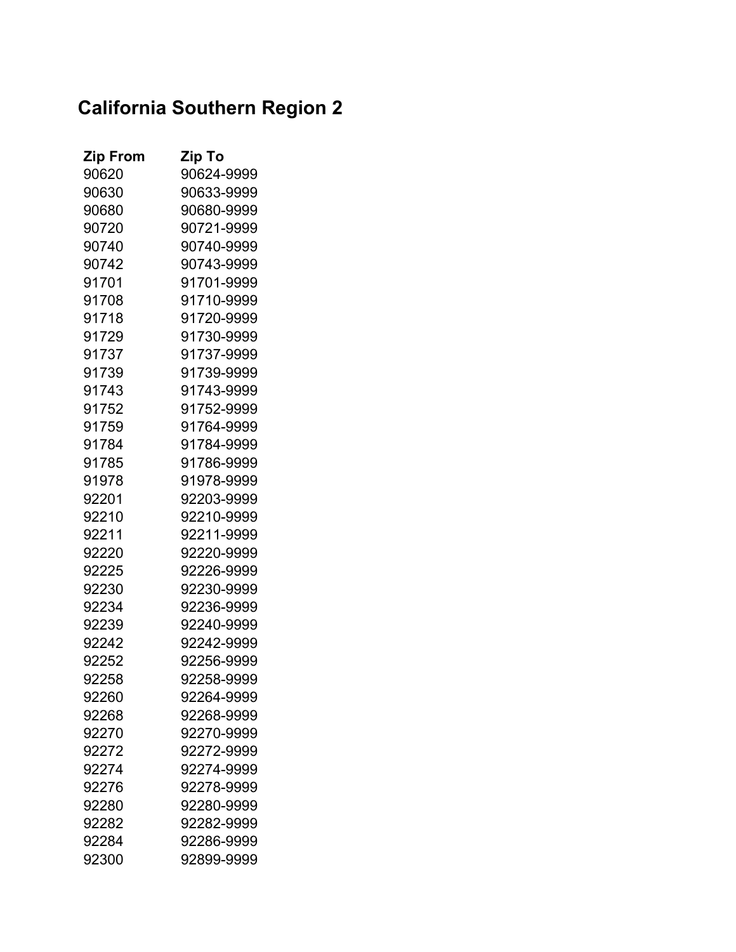## **California Southern Region 2**

| <b>Zip From</b> | Zip To     |
|-----------------|------------|
| 90620           | 90624-9999 |
| 90630           | 90633-9999 |
| 90680           | 90680-9999 |
| 90720           | 90721-9999 |
| 90740           | 90740-9999 |
| 90742           | 90743-9999 |
| 91701           | 91701-9999 |
| 91708           | 91710-9999 |
| 91718           | 91720-9999 |
| 91729           | 91730-9999 |
| 91737           | 91737-9999 |
| 91739           | 91739-9999 |
| 91743           | 91743-9999 |
| 91752           | 91752-9999 |
| 91759           | 91764-9999 |
| 91784           | 91784-9999 |
| 91785           | 91786-9999 |
| 91978           | 91978-9999 |
| 92201           | 92203-9999 |
| 92210           | 92210-9999 |
| 92211           | 92211-9999 |
| 92220           | 92220-9999 |
| 92225           | 92226-9999 |
| 92230           | 92230-9999 |
| 92234           | 92236-9999 |
| 92239           | 92240-9999 |
| 92242           | 92242-9999 |
| 92252           | 92256-9999 |
| 92258           | 92258-9999 |
| 92260           | 92264-9999 |
| 92268           | 92268-9999 |
| 92270           | 92270-9999 |
| 92272           | 92272-9999 |
| 92274           | 92274-9999 |
| 92276           | 92278-9999 |
| 92280           | 92280-9999 |
| 92282           | 92282-9999 |
| 92284           | 92286-9999 |
| 92300           | 92899-9999 |